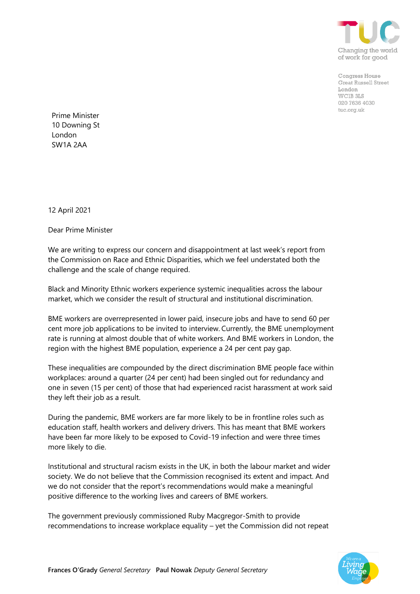

Congress House **Great Russell Street** London WC1B 3LS 020 7636 4030 tuc.org.uk

Prime Minister 10 Downing St London SW1A 2AA

12 April 2021

Dear Prime Minister

We are writing to express our concern and disappointment at last week's report from the Commission on Race and Ethnic Disparities, which we feel understated both the challenge and the scale of change required.

Black and Minority Ethnic workers experience systemic inequalities across the labour market, which we consider the result of structural and institutional discrimination.

BME workers are overrepresented in lower paid, insecure jobs and have to send 60 per cent more job applications to be invited to interview. Currently, the BME unemployment rate is running at almost double that of white workers. And BME workers in London, the region with the highest BME population, experience a 24 per cent pay gap.

These inequalities are compounded by the direct discrimination BME people face within workplaces: around a quarter (24 per cent) had been singled out for redundancy and one in seven (15 per cent) of those that had experienced racist harassment at work said they left their job as a result.

During the pandemic, BME workers are far more likely to be in frontline roles such as education staff, health workers and delivery drivers. This has meant that BME workers have been far more likely to be exposed to Covid-19 infection and were three times more likely to die.

Institutional and structural racism exists in the UK, in both the labour market and wider society. We do not believe that the Commission recognised its extent and impact. And we do not consider that the report's recommendations would make a meaningful positive difference to the working lives and careers of BME workers.

The government previously commissioned Ruby Macgregor-Smith to provide recommendations to increase workplace equality – yet the Commission did not repeat

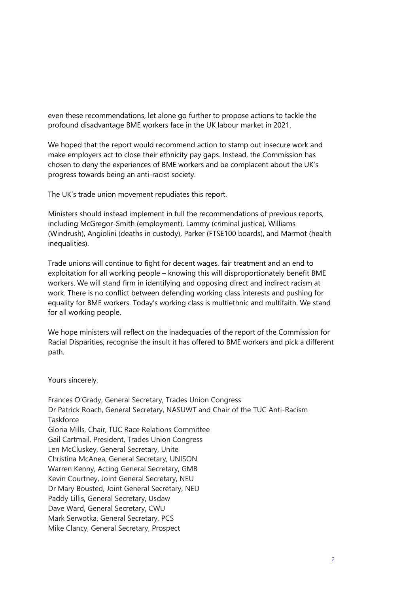even these recommendations, let alone go further to propose actions to tackle the profound disadvantage BME workers face in the UK labour market in 2021.

We hoped that the report would recommend action to stamp out insecure work and make employers act to close their ethnicity pay gaps. Instead, the Commission has chosen to deny the experiences of BME workers and be complacent about the UK's progress towards being an anti-racist society.

The UK's trade union movement repudiates this report.

Ministers should instead implement in full the recommendations of previous reports, including McGregor-Smith (employment), Lammy (criminal justice), Williams (Windrush), Angiolini (deaths in custody), Parker (FTSE100 boards), and Marmot (health inequalities).

Trade unions will continue to fight for decent wages, fair treatment and an end to exploitation for all working people – knowing this will disproportionately benefit BME workers. We will stand firm in identifying and opposing direct and indirect racism at work. There is no conflict between defending working class interests and pushing for equality for BME workers. Today's working class is multiethnic and multifaith. We stand for all working people.

We hope ministers will reflect on the inadequacies of the report of the Commission for Racial Disparities, recognise the insult it has offered to BME workers and pick a different path.

Yours sincerely,

Frances O'Grady, General Secretary, Trades Union Congress Dr Patrick Roach, General Secretary, NASUWT and Chair of the TUC Anti-Racism **Taskforce** Gloria Mills, Chair, TUC Race Relations Committee Gail Cartmail, President, Trades Union Congress Len McCluskey, General Secretary, Unite Christina McAnea, General Secretary, UNISON Warren Kenny, Acting General Secretary, GMB Kevin Courtney, Joint General Secretary, NEU Dr Mary Bousted, Joint General Secretary, NEU Paddy Lillis, General Secretary, Usdaw Dave Ward, General Secretary, CWU Mark Serwotka, General Secretary, PCS Mike Clancy, General Secretary, Prospect